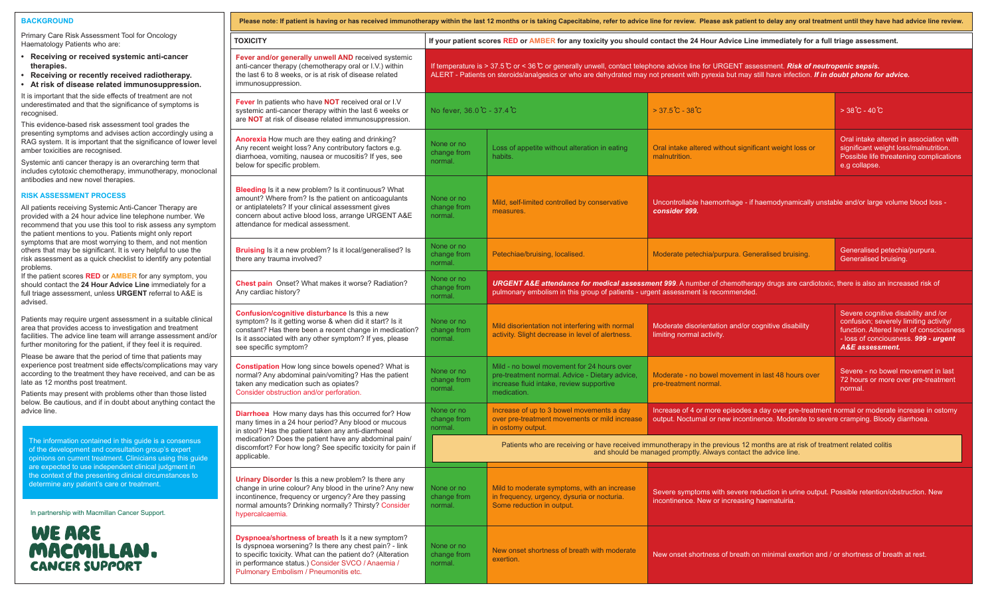## **BACKGROUND**

| Primary Care Risk Assessment Tool for Oncology<br>Haematology Patients who are:                                                                                                                                                                                  | <b>TOXICITY</b>                                                                                                                                                                                                                              |
|------------------------------------------------------------------------------------------------------------------------------------------------------------------------------------------------------------------------------------------------------------------|----------------------------------------------------------------------------------------------------------------------------------------------------------------------------------------------------------------------------------------------|
| • Receiving or received systemic anti-cancer<br>therapies.<br>• Receiving or recently received radiotherapy.<br>At risk of disease related immunosuppression.<br>$\bullet$                                                                                       | Fever and/or generally unwell AND received syste<br>anti-cancer therapy (chemotherapy oral or I.V.) withi<br>the last 6 to 8 weeks, or is at risk of disease related<br>immunosuppression.                                                   |
| It is important that the side effects of treatment are not<br>underestimated and that the significance of symptoms is<br>recognised.                                                                                                                             | <b>Fever</b> In patients who have <b>NOT</b> received oral or I.\<br>systemic anti-cancer therapy within the last 6 weeks                                                                                                                    |
| This evidence-based risk assessment tool grades the<br>presenting symptoms and advises action accordingly using a<br>RAG system. It is important that the significance of lower level<br>amber toxicities are recognised.                                        | are <b>NOT</b> at risk of disease related immunosuppress<br>Anorexia How much are they eating and drinking?<br>Any recent weight loss? Any contributory factors e.g                                                                          |
| Systemic anti cancer therapy is an overarching term that<br>includes cytotoxic chemotherapy, immunotherapy, monoclonal<br>antibodies and new novel therapies.                                                                                                    | diarrhoea, vomiting, nausea or mucositis? If yes, se<br>below for specific problem.                                                                                                                                                          |
| <b>RISK ASSESSMENT PROCESS</b>                                                                                                                                                                                                                                   | <b>Bleeding</b> Is it a new problem? Is it continuous? What<br>amount? Where from? Is the patient on anticoagular                                                                                                                            |
| All patients receiving Systemic Anti-Cancer Therapy are<br>provided with a 24 hour advice line telephone number. We<br>recommend that you use this tool to risk assess any symptom<br>the patient mentions to you. Patients might only report                    | or antiplatelets? If your clinical assessment gives<br>concern about active blood loss, arrange URGENT<br>attendance for medical assessment.                                                                                                 |
| symptoms that are most worrying to them, and not mention<br>others that may be significant. It is very helpful to use the<br>risk assessment as a quick checklist to identify any potential<br>problems.                                                         | <b>Bruising</b> Is it a new problem? Is it local/generalised<br>there any trauma involved?                                                                                                                                                   |
| If the patient scores <b>RED</b> or <b>AMBER</b> for any symptom, you<br>should contact the 24 Hour Advice Line immediately for a<br>full triage assessment, unless URGENT referral to A&E is<br>advised.                                                        | Chest pain Onset? What makes it worse? Radiatio<br>Any cardiac history?                                                                                                                                                                      |
| Patients may require urgent assessment in a suitable clinical<br>area that provides access to investigation and treatment<br>facilities. The advice line team will arrange assessment and/or<br>further monitoring for the patient, if they feel it is required. | Confusion/cognitive disturbance Is this a new<br>symptom? Is it getting worse & when did it start? Is<br>constant? Has there been a recent change in medic<br>Is it associated with any other symptom? If yes, plea<br>see specific symptom? |
| Please be aware that the period of time that patients may<br>experience post treatment side effects/complications may vary<br>according to the treatment they have received, and can be as<br>late as 12 months post treatment.                                  | <b>Constipation</b> How long since bowels opened? Wha<br>normal? Any abdominal pain/vomiting? Has the pati-<br>taken any medication such as opiates?                                                                                         |
| Patients may present with problems other than those listed<br>below. Be cautious, and if in doubt about anything contact the                                                                                                                                     | Consider obstruction and/or perforation.                                                                                                                                                                                                     |
| advice line.<br>The information contained in this guide is a consensus                                                                                                                                                                                           | Diarrhoea How many days has this occurred for? H<br>many times in a 24 hour period? Any blood or muco<br>in stool? Has the patient taken any anti-diarrhoeal<br>medication? Does the patient have any abdominal p                            |
| of the development and consultation group's expert<br>opinions on current treatment. Clinicians using this guide<br>are expected to use independent clinical judgment in                                                                                         | discomfort? For how long? See specific toxicity for p<br>applicable.                                                                                                                                                                         |
| the context of the presenting clinical circumstances to<br>determine any patient's care or treatment.                                                                                                                                                            | Urinary Disorder Is this a new problem? Is there ar<br>change in urine colour? Any blood in the urine? Any<br>incontinence, frequency or urgency? Are they passir<br>normal amounts? Drinking normally? Thirsty? Consi                       |
| In partnership with Macmillan Cancer Support.                                                                                                                                                                                                                    | hypercalcaemia.                                                                                                                                                                                                                              |
| WE ARE                                                                                                                                                                                                                                                           | Dyspnoea/shortness of breath Is it a new symptor<br>Is dyspnoea worsening? Is there any chest pain? - I                                                                                                                                      |
| MACMILLAN.<br><b>CANCER SUPPORT</b>                                                                                                                                                                                                                              | to specific toxicity. What can the patient do? (Alterat<br>in performance status.) Consider SVCO / Anaemia /<br>Pulmonary Embolism / Pneumonitis etc.                                                                                        |

| Please note: If patient is having or has received immunotherapy within the last 12 months or is taking Capecitabine, refer to advice line for review. Please ask patient to delay any oral treatment until they have had advic                                                                                 |                                                                                                                                                                                                                                                                                                      |                                                                                                                                                                                                                          |                                                                                                                                                                                        |                                                                                                                                                                                                 |  |  |
|----------------------------------------------------------------------------------------------------------------------------------------------------------------------------------------------------------------------------------------------------------------------------------------------------------------|------------------------------------------------------------------------------------------------------------------------------------------------------------------------------------------------------------------------------------------------------------------------------------------------------|--------------------------------------------------------------------------------------------------------------------------------------------------------------------------------------------------------------------------|----------------------------------------------------------------------------------------------------------------------------------------------------------------------------------------|-------------------------------------------------------------------------------------------------------------------------------------------------------------------------------------------------|--|--|
| <b>TOXICITY</b>                                                                                                                                                                                                                                                                                                | If your patient scores RED or AMBER for any toxicity you should contact the 24 Hour Advice Line immediately for a full triage assessment.                                                                                                                                                            |                                                                                                                                                                                                                          |                                                                                                                                                                                        |                                                                                                                                                                                                 |  |  |
| Fever and/or generally unwell AND received systemic<br>anti-cancer therapy (chemotherapy oral or I.V.) within<br>the last 6 to 8 weeks, or is at risk of disease related<br>immunosuppression.                                                                                                                 | If temperature is > 37.5 C or < 36 C or generally unwell, contact telephone advice line for URGENT assessment. Risk of neutropenic sepsis.<br>ALERT - Patients on steroids/analgesics or who are dehydrated may not present with pyrexia but may still have infection. If in doubt phone for advice. |                                                                                                                                                                                                                          |                                                                                                                                                                                        |                                                                                                                                                                                                 |  |  |
| Fever In patients who have NOT received oral or I.V<br>systemic anti-cancer therapy within the last 6 weeks or<br>are NOT at risk of disease related immunosuppression.                                                                                                                                        | No fever, 36.0 C - 37.4 C                                                                                                                                                                                                                                                                            |                                                                                                                                                                                                                          | $>37.5^{\circ}C - 38^{\circ}C$                                                                                                                                                         | $>38^{\circ}$ C - 40 $\circ$ C                                                                                                                                                                  |  |  |
| Anorexia How much are they eating and drinking?<br>Any recent weight loss? Any contributory factors e.g.<br>diarrhoea, vomiting, nausea or mucositis? If yes, see<br>below for specific problem.                                                                                                               | None or no<br>change from<br>normal.                                                                                                                                                                                                                                                                 | Loss of appetite without alteration in eating<br>habits.                                                                                                                                                                 | Oral intake altered without significant weight loss or<br>malnutrition.                                                                                                                | Oral intake altered in association with<br>significant weight loss/malnutrition.<br>Possible life threatening complications<br>e.g collapse.                                                    |  |  |
| <b>Bleeding</b> Is it a new problem? Is it continuous? What<br>amount? Where from? Is the patient on anticoagulants<br>or antiplatelets? If your clinical assessment gives<br>concern about active blood loss, arrange URGENT A&E<br>attendance for medical assessment.                                        | None or no<br>change from<br>normal.                                                                                                                                                                                                                                                                 | Mild, self-limited controlled by conservative<br>measures.                                                                                                                                                               | Uncontrollable haemorrhage - if haemodynamically unstable and/or large volume blood loss -<br>consider 999.                                                                            |                                                                                                                                                                                                 |  |  |
| <b>Bruising</b> Is it a new problem? Is it local/generalised? Is<br>there any trauma involved?                                                                                                                                                                                                                 | None or no<br>change from<br>normal.                                                                                                                                                                                                                                                                 | Petechiae/bruising, localised                                                                                                                                                                                            | Moderate petechia/purpura. Generalised bruising.                                                                                                                                       | Generalised petechia/purpura.<br>Generalised bruising.                                                                                                                                          |  |  |
| Chest pain Onset? What makes it worse? Radiation?<br>Any cardiac history?                                                                                                                                                                                                                                      | None or no<br>change from<br>normal.                                                                                                                                                                                                                                                                 | URGENT A&E attendance for medical assessment 999. A number of chemotherapy drugs are cardiotoxic, there is also an increased risk of<br>pulmonary embolism in this group of patients - urgent assessment is recommended. |                                                                                                                                                                                        |                                                                                                                                                                                                 |  |  |
| Confusion/cognitive disturbance Is this a new<br>symptom? Is it getting worse & when did it start? Is it<br>constant? Has there been a recent change in medication?<br>Is it associated with any other symptom? If yes, please<br>see specific symptom?                                                        | None or no<br>change from<br>normal.                                                                                                                                                                                                                                                                 | Mild disorientation not interfering with normal<br>activity. Slight decrease in level of alertness.                                                                                                                      | Moderate disorientation and/or cognitive disability<br>limiting normal activity.                                                                                                       | Severe cognitive disability and /or<br>confusion; severely limiting activity/<br>function. Altered level of consciousness<br>- loss of conciousness. 999 - urgent<br><b>A&amp;E</b> assessment. |  |  |
| <b>Constipation</b> How long since bowels opened? What is<br>normal? Any abdominal pain/vomiting? Has the patient<br>taken any medication such as opiates?<br>Consider obstruction and/or perforation.                                                                                                         | None or no<br>change from<br>normal.                                                                                                                                                                                                                                                                 | Mild - no bowel movement for 24 hours over<br>pre-treatment normal. Advice - Dietary advice,<br>increase fluid intake, review supportive<br>medication.                                                                  | Moderate - no bowel movement in last 48 hours over<br>pre-treatment normal                                                                                                             | Severe - no bowel movement in last<br>72 hours or more over pre-treatment<br>normal.                                                                                                            |  |  |
| <b>Diarrhoea</b> How many days has this occurred for? How<br>many times in a 24 hour period? Any blood or mucous<br>in stool? Has the patient taken any anti-diarrhoeal<br>medication? Does the patient have any abdominal pain/<br>discomfort? For how long? See specific toxicity for pain if<br>applicable. | None or no<br>change from<br>normal.                                                                                                                                                                                                                                                                 | Increase of up to 3 bowel movements a day<br>over pre-treatment movements or mild increase<br>in ostomy output.                                                                                                          | Increase of 4 or more episodes a day over pre-treatment normal or moderate increase in ostomy<br>output. Nocturnal or new incontinence. Moderate to severe cramping. Bloody diarrhoea. |                                                                                                                                                                                                 |  |  |
|                                                                                                                                                                                                                                                                                                                | Patients who are receiving or have received immunotherapy in the previous 12 months are at risk of treatment related colitis<br>and should be managed promptly. Always contact the advice line.                                                                                                      |                                                                                                                                                                                                                          |                                                                                                                                                                                        |                                                                                                                                                                                                 |  |  |
| Urinary Disorder Is this a new problem? Is there any<br>change in urine colour? Any blood in the urine? Any new<br>incontinence, frequency or urgency? Are they passing<br>normal amounts? Drinking normally? Thirsty? Consider<br>hypercalcaemia.                                                             | None or no<br>change from<br>normal.                                                                                                                                                                                                                                                                 | Mild to moderate symptoms, with an increase<br>in frequency, urgency, dysuria or nocturia.<br>Some reduction in output.                                                                                                  | Severe symptoms with severe reduction in urine output. Possible retention/obstruction. New<br>incontinence. New or increasing haematuiria.                                             |                                                                                                                                                                                                 |  |  |
| Dyspnoea/shortness of breath Is it a new symptom?<br>Is dyspnoea worsening? Is there any chest pain? - link<br>to specific toxicity. What can the patient do? (Alteration<br>in performance status.) Consider SVCO / Anaemia /<br>Pulmonary Embolism / Pneumonitis etc.                                        | None or no<br>change from<br>normal.                                                                                                                                                                                                                                                                 | New onset shortness of breath with moderate<br>exertion.                                                                                                                                                                 | New onset shortness of breath on minimal exertion and / or shortness of breath at rest.                                                                                                |                                                                                                                                                                                                 |  |  |